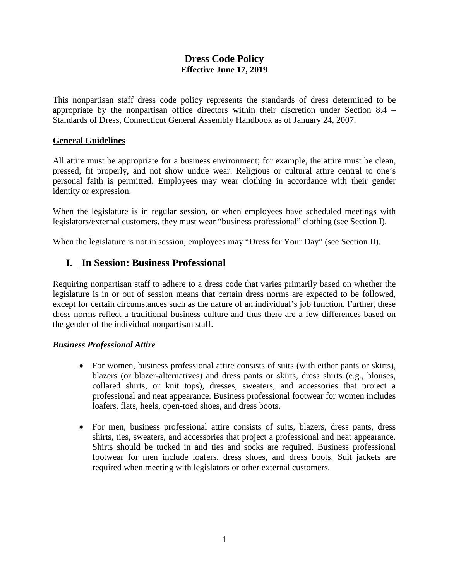## **Dress Code Policy Effective June 17, 2019**

This nonpartisan staff dress code policy represents the standards of dress determined to be appropriate by the nonpartisan office directors within their discretion under Section 8.4 – Standards of Dress, Connecticut General Assembly Handbook as of January 24, 2007.

### **General Guidelines**

All attire must be appropriate for a business environment; for example, the attire must be clean, pressed, fit properly, and not show undue wear. Religious or cultural attire central to one's personal faith is permitted. Employees may wear clothing in accordance with their gender identity or expression.

When the legislature is in regular session, or when employees have scheduled meetings with legislators/external customers, they must wear "business professional" clothing (see Section I).

When the legislature is not in session, employees may "Dress for Your Day" (see Section II).

# **I. In Session: Business Professional**

Requiring nonpartisan staff to adhere to a dress code that varies primarily based on whether the legislature is in or out of session means that certain dress norms are expected to be followed, except for certain circumstances such as the nature of an individual's job function. Further, these dress norms reflect a traditional business culture and thus there are a few differences based on the gender of the individual nonpartisan staff.

#### *Business Professional Attire*

- For women, business professional attire consists of suits (with either pants or skirts), blazers (or blazer-alternatives) and dress pants or skirts, dress shirts (e.g., blouses, collared shirts, or knit tops), dresses, sweaters, and accessories that project a professional and neat appearance. Business professional footwear for women includes loafers, flats, heels, open-toed shoes, and dress boots.
- For men, business professional attire consists of suits, blazers, dress pants, dress shirts, ties, sweaters, and accessories that project a professional and neat appearance. Shirts should be tucked in and ties and socks are required. Business professional footwear for men include loafers, dress shoes, and dress boots. Suit jackets are required when meeting with legislators or other external customers.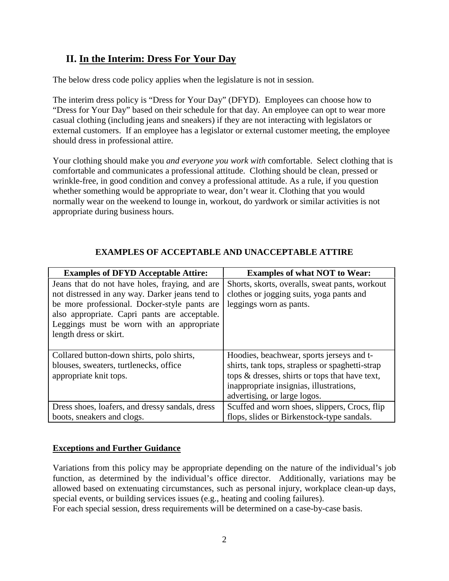# **II. In the Interim: Dress For Your Day**

The below dress code policy applies when the legislature is not in session.

The interim dress policy is "Dress for Your Day" (DFYD). Employees can choose how to "Dress for Your Day" based on their schedule for that day. An employee can opt to wear more casual clothing (including jeans and sneakers) if they are not interacting with legislators or external customers. If an employee has a legislator or external customer meeting, the employee should dress in professional attire.

Your clothing should make you *and everyone you work with* comfortable. Select clothing that is comfortable and communicates a professional attitude. Clothing should be clean, pressed or wrinkle-free, in good condition and convey a professional attitude. As a rule, if you question whether something would be appropriate to wear, don't wear it. Clothing that you would normally wear on the weekend to lounge in, workout, do yardwork or similar activities is not appropriate during business hours.

| <b>Examples of DFYD Acceptable Attire:</b>      | <b>Examples of what NOT to Wear:</b>            |
|-------------------------------------------------|-------------------------------------------------|
| Jeans that do not have holes, fraying, and are  | Shorts, skorts, overalls, sweat pants, workout  |
| not distressed in any way. Darker jeans tend to | clothes or jogging suits, yoga pants and        |
| be more professional. Docker-style pants are    | leggings worn as pants.                         |
| also appropriate. Capri pants are acceptable.   |                                                 |
| Leggings must be worn with an appropriate       |                                                 |
| length dress or skirt.                          |                                                 |
|                                                 |                                                 |
| Collared button-down shirts, polo shirts,       | Hoodies, beachwear, sports jerseys and t-       |
| blouses, sweaters, turtlenecks, office          | shirts, tank tops, strapless or spaghetti-strap |
| appropriate knit tops.                          | tops & dresses, shirts or tops that have text,  |
|                                                 | inappropriate insignias, illustrations,         |
|                                                 | advertising, or large logos.                    |
| Dress shoes, loafers, and dressy sandals, dress | Scuffed and worn shoes, slippers, Crocs, flip   |
| boots, sneakers and clogs.                      | flops, slides or Birkenstock-type sandals.      |

## **EXAMPLES OF ACCEPTABLE AND UNACCEPTABLE ATTIRE**

### **Exceptions and Further Guidance**

Variations from this policy may be appropriate depending on the nature of the individual's job function, as determined by the individual's office director. Additionally, variations may be allowed based on extenuating circumstances, such as personal injury, workplace clean-up days, special events, or building services issues (e.g., heating and cooling failures).

For each special session, dress requirements will be determined on a case-by-case basis.